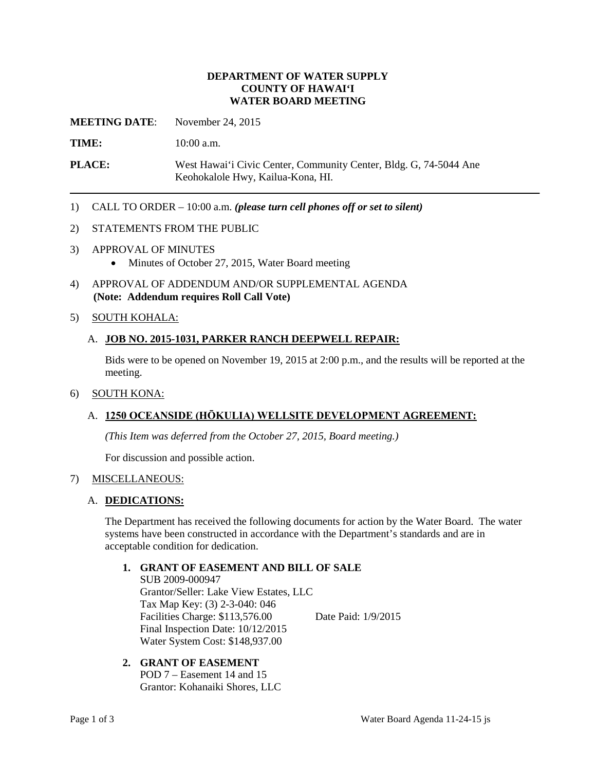# **DEPARTMENT OF WATER SUPPLY COUNTY OF HAWAI'I WATER BOARD MEETING**

**MEETING DATE**: November 24, 2015

TIME: 10:00 a.m.

PLACE: West Hawai'i Civic Center, Community Center, Bldg. G, 74-5044 Ane Keohokalole Hwy, Kailua-Kona, HI.

1) CALL TO ORDER – 10:00 a.m. *(please turn cell phones off or set to silent)* 

#### 2) STATEMENTS FROM THE PUBLIC

- 3) APPROVAL OF MINUTES
	- Minutes of October 27, 2015, Water Board meeting
- 4) APPROVAL OF ADDENDUM AND/OR SUPPLEMENTAL AGENDA **(Note: Addendum requires Roll Call Vote)**

#### 5) SOUTH KOHALA:

#### A. **JOB NO. 2015-1031, PARKER RANCH DEEPWELL REPAIR:**

Bids were to be opened on November 19, 2015 at 2:00 p.m., and the results will be reported at the meeting.

#### 6) SOUTH KONA:

# A. **1250 OCEANSIDE (HŌKULIA) WELLSITE DEVELOPMENT AGREEMENT:**

*(This Item was deferred from the October 27, 2015, Board meeting.)* 

For discussion and possible action.

# 7) MISCELLANEOUS:

#### A. **DEDICATIONS:**

 The Department has received the following documents for action by the Water Board. The water systems have been constructed in accordance with the Department's standards and are in acceptable condition for dedication.

#### **1. GRANT OF EASEMENT AND BILL OF SALE**

 Final Inspection Date: 10/12/2015 SUB 2009-000947 Grantor/Seller: Lake View Estates, LLC Tax Map Key: (3) 2-3-040: 046 Facilities Charge: \$113,576.00 Date Paid: 1/9/2015 Water System Cost: \$148,937.00

# **2. GRANT OF EASEMENT**

POD 7 – Easement 14 and 15 Grantor: Kohanaiki Shores, LLC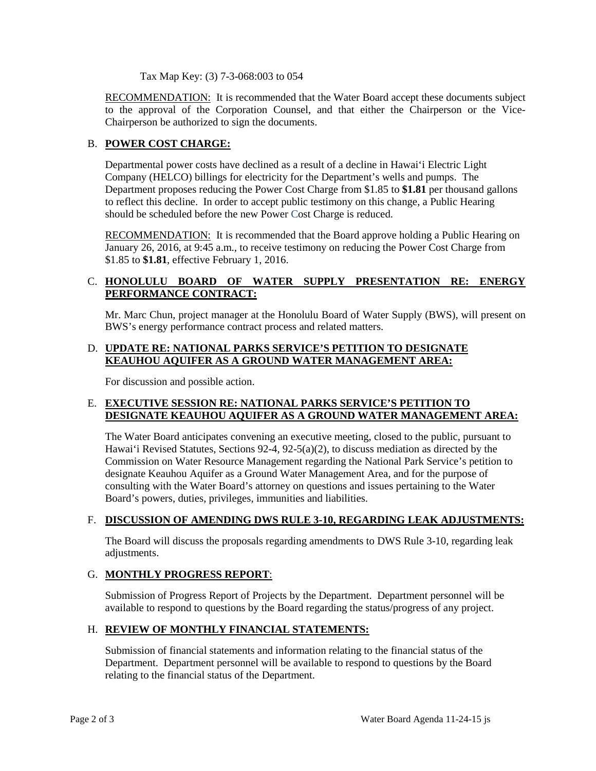Tax Map Key: (3) 7-3-068:003 to 054

RECOMMENDATION: It is recommended that the Water Board accept these documents subject to the approval of the Corporation Counsel, and that either the Chairperson or the Vice-Chairperson be authorized to sign the documents.

# B. **POWER COST CHARGE:**

 to reflect this decline. In order to accept public testimony on this change, a Public Hearing Departmental power costs have declined as a result of a decline in Hawai'i Electric Light Company (HELCO) billings for electricity for the Department's wells and pumps. The Department proposes reducing the Power Cost Charge from \$1.85 to **\$1.81** per thousand gallons should be scheduled before the new Power Cost Charge is reduced.

RECOMMENDATION: It is recommended that the Board approve holding a Public Hearing on January 26, 2016, at 9:45 a.m., to receive testimony on reducing the Power Cost Charge from \$1.85 to **\$1.81**, effective February 1, 2016.

# C. **HONOLULU BOARD OF WATER SUPPLY PRESENTATION RE: ENERGY PERFORMANCE CONTRACT:**

Mr. Marc Chun, project manager at the Honolulu Board of Water Supply (BWS), will present on BWS's energy performance contract process and related matters.

# D. **UPDATE RE: NATIONAL PARKS SERVICE'S PETITION TO DESIGNATE KEAUHOU AQUIFER AS A GROUND WATER MANAGEMENT AREA:**

For discussion and possible action.

# E. **EXECUTIVE SESSION RE: NATIONAL PARKS SERVICE'S PETITION TO DESIGNATE KEAUHOU AQUIFER AS A GROUND WATER MANAGEMENT AREA:**

 Commission on Water Resource Management regarding the National Park Service's petition to designate Keauhou Aquifer as a Ground Water Management Area, and for the purpose of The Water Board anticipates convening an executive meeting, closed to the public, pursuant to Hawai'i Revised Statutes, Sections 92-4, 92-5(a)(2), to discuss mediation as directed by the consulting with the Water Board's attorney on questions and issues pertaining to the Water Board's powers, duties, privileges, immunities and liabilities.

# F. DISCUSSION OF AMENDING DWS RULE 3-10, REGARDING LEAK ADJUSTMENTS:

 The Board will discuss the proposals regarding amendments to DWS Rule 3-10, regarding leak adjustments.

# G. **MONTHLY PROGRESS REPORT**:

Submission of Progress Report of Projects by the Department. Department personnel will be available to respond to questions by the Board regarding the status/progress of any project.

# H. **REVIEW OF MONTHLY FINANCIAL STATEMENTS:**

 Submission of financial statements and information relating to the financial status of the Department. Department personnel will be available to respond to questions by the Board relating to the financial status of the Department.